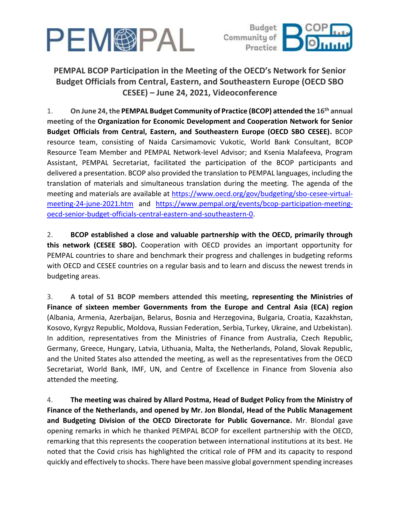



## **PEMPAL BCOP Participation in the Meeting of the OECD's Network for Senior Budget Officials from Central, Eastern, and Southeastern Europe (OECD SBO CESEE) – June 24, 2021, Videoconference**

1. **On June 24, the PEMPAL Budget Community of Practice (BCOP) attended the 16 th annual meeting of the Organization for Economic Development and Cooperation Network for Senior Budget Officials from Central, Eastern, and Southeastern Europe (OECD SBO CESEE).** BCOP resource team, consisting of Naida Carsimamovic Vukotic, World Bank Consultant, BCOP Resource Team Member and PEMPAL Network-level Advisor; and Ksenia Malafeeva, Program Assistant, PEMPAL Secretariat, facilitated the participation of the BCOP participants and delivered a presentation. BCOP also provided the translation to PEMPAL languages, including the translation of materials and simultaneous translation during the meeting. The agenda of the meeting and materials are available at [https://www.oecd.org/gov/budgeting/sbo-cesee-virtual](https://www.oecd.org/gov/budgeting/sbo-cesee-virtual-meeting-24-june-2021.htm)[meeting-24-june-2021.htm](https://www.oecd.org/gov/budgeting/sbo-cesee-virtual-meeting-24-june-2021.htm) and [https://www.pempal.org/events/bcop-participation-meeting](https://www.pempal.org/events/bcop-participation-meeting-oecd-senior-budget-officials-central-eastern-and-southeastern-0)[oecd-senior-budget-officials-central-eastern-and-southeastern-0.](https://www.pempal.org/events/bcop-participation-meeting-oecd-senior-budget-officials-central-eastern-and-southeastern-0)

2. **BCOP established a close and valuable partnership with the OECD, primarily through this network (CESEE SBO).** Cooperation with OECD provides an important opportunity for PEMPAL countries to share and benchmark their progress and challenges in budgeting reforms with OECD and CESEE countries on a regular basis and to learn and discuss the newest trends in budgeting areas.

3. **A total of 51 BCOP members attended this meeting, representing the Ministries of Finance of sixteen member Governments from the Europe and Central Asia (ECA) region** (Albania, Armenia, Azerbaijan, Belarus, Bosnia and Herzegovina, Bulgaria, Croatia, Kazakhstan, Kosovo, Kyrgyz Republic, Moldova, Russian Federation, Serbia, Turkey, Ukraine, and Uzbekistan). In addition, representatives from the Ministries of Finance from Australia, Czech Republic, Germany, Greece, Hungary, Latvia, Lithuania, Malta, the Netherlands, Poland, Slovak Republic, and the United States also attended the meeting, as well as the representatives from the OECD Secretariat, World Bank, IMF, UN, and Centre of Excellence in Finance from Slovenia also attended the meeting.

4. **The meeting was chaired by Allard Postma, Head of Budget Policy from the Ministry of Finance of the Netherlands, and opened by Mr. Jon Blondal, Head of the Public Management and Budgeting Division of the OECD Directorate for Public Governance.** Mr. Blondal gave opening remarks in which he thanked PEMPAL BCOP for excellent partnership with the OECD, remarking that this represents the cooperation between international institutions at its best. He noted that the Covid crisis has highlighted the critical role of PFM and its capacity to respond quickly and effectively to shocks. There have been massive global government spending increases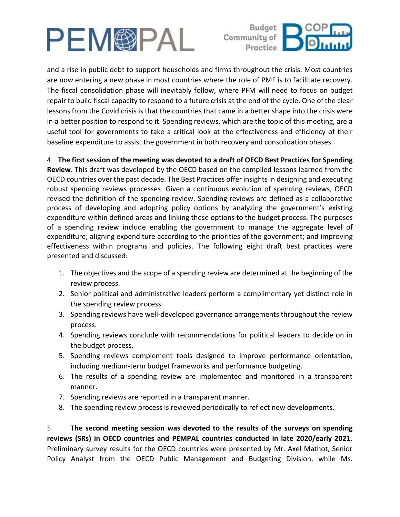



and a rise in public debt to support households and firms throughout the crisis. Most countries are now entering a new phase in most countries where the role of PMF is to facilitate recovery. The fiscal consolidation phase will inevitably follow, where PFM will need to focus on budget repair to build fiscal capacity to respond to a future crisis at the end of the cycle. One of the clear lessons from the Covid crisis is that the countries that came in a better shape into the crisis were in a better position to respond to it. Spending reviews, which are the topic of this meeting, are a useful tool for governments to take a critical look at the effectiveness and efficiency of their baseline expenditure to assist the government in both recovery and consolidation phases.

## 4. **The first session of the meeting was devoted to a draft of OECD Best Practices for Spending**

**Review**. This draft was developed by the OECD based on the compiled lessons learned from the OECD countries over the past decade. The Best Practices offer insights in designing and executing robust spending reviews processes. Given a continuous evolution of spending reviews, OECD revised the definition of the spending review. Spending reviews are defined as a collaborative process of developing and adopting policy options by analyzing the government's existing expenditure within defined areas and linking these options to the budget process. The purposes of a spending review include enabling the government to manage the aggregate level of expenditure; aligning expenditure according to the priorities of the government; and improving effectiveness within programs and policies. The following eight draft best practices were presented and discussed:

- 1. The objectives and the scope of a spending review are determined at the beginning of the review process.
- 2. Senior political and administrative leaders perform a complimentary yet distinct role in the spending review process.
- 3. Spending reviews have well-developed governance arrangements throughout the review process.
- 4. Spending reviews conclude with recommendations for political leaders to decide on in the budget process.
- 5. Spending reviews complement tools designed to improve performance orientation, including medium-term budget frameworks and performance budgeting.
- 6. The results of a spending review are implemented and monitored in a transparent manner.
- 7. Spending reviews are reported in a transparent manner.
- 8. The spending review process is reviewed periodically to reflect new developments.

5. **The second meeting session was devoted to the results of the surveys on spending reviews (SRs) in OECD countries and PEMPAL countries conducted in late 2020/early 2021**. Preliminary survey results for the OECD countries were presented by Mr. Axel Mathot, Senior Policy Analyst from the OECD Public Management and Budgeting Division, while Ms.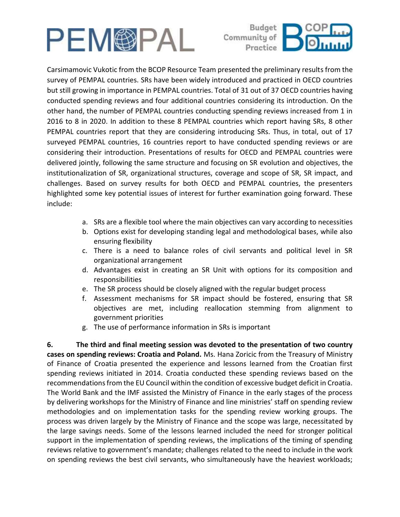



Carsimamovic Vukotic from the BCOP Resource Team presented the preliminary results from the survey of PEMPAL countries. SRs have been widely introduced and practiced in OECD countries but still growing in importance in PEMPAL countries. Total of 31 out of 37 OECD countries having conducted spending reviews and four additional countries considering its introduction. On the other hand, the number of PEMPAL countries conducting spending reviews increased from 1 in 2016 to 8 in 2020. In addition to these 8 PEMPAL countries which report having SRs, 8 other PEMPAL countries report that they are considering introducing SRs. Thus, in total, out of 17 surveyed PEMPAL countries, 16 countries report to have conducted spending reviews or are considering their introduction. Presentations of results for OECD and PEMPAL countries were delivered jointly, following the same structure and focusing on SR evolution and objectives, the institutionalization of SR, organizational structures, coverage and scope of SR, SR impact, and challenges. Based on survey results for both OECD and PEMPAL countries, the presenters highlighted some key potential issues of interest for further examination going forward. These include:

- a. SRs are a flexible tool where the main objectives can vary according to necessities
- b. Options exist for developing standing legal and methodological bases, while also ensuring flexibility
- c. There is a need to balance roles of civil servants and political level in SR organizational arrangement
- d. Advantages exist in creating an SR Unit with options for its composition and responsibilities
- e. The SR process should be closely aligned with the regular budget process
- f. Assessment mechanisms for SR impact should be fostered, ensuring that SR objectives are met, including reallocation stemming from alignment to government priorities
- g. The use of performance information in SRs is important

**6. The third and final meeting session was devoted to the presentation of two country cases on spending reviews: Croatia and Poland.** Ms. Hana Zoricic from the Treasury of Ministry of Finance of Croatia presented the experience and lessons learned from the Croatian first spending reviews initiated in 2014. Croatia conducted these spending reviews based on the recommendations from the EU Council within the condition of excessive budget deficit in Croatia. The World Bank and the IMF assisted the Ministry of Finance in the early stages of the process by delivering workshops for the Ministry of Finance and line ministries' staff on spending review methodologies and on implementation tasks for the spending review working groups. The process was driven largely by the Ministry of Finance and the scope was large, necessitated by the large savings needs. Some of the lessons learned included the need for stronger political support in the implementation of spending reviews, the implications of the timing of spending reviews relative to government's mandate; challenges related to the need to include in the work on spending reviews the best civil servants, who simultaneously have the heaviest workloads;